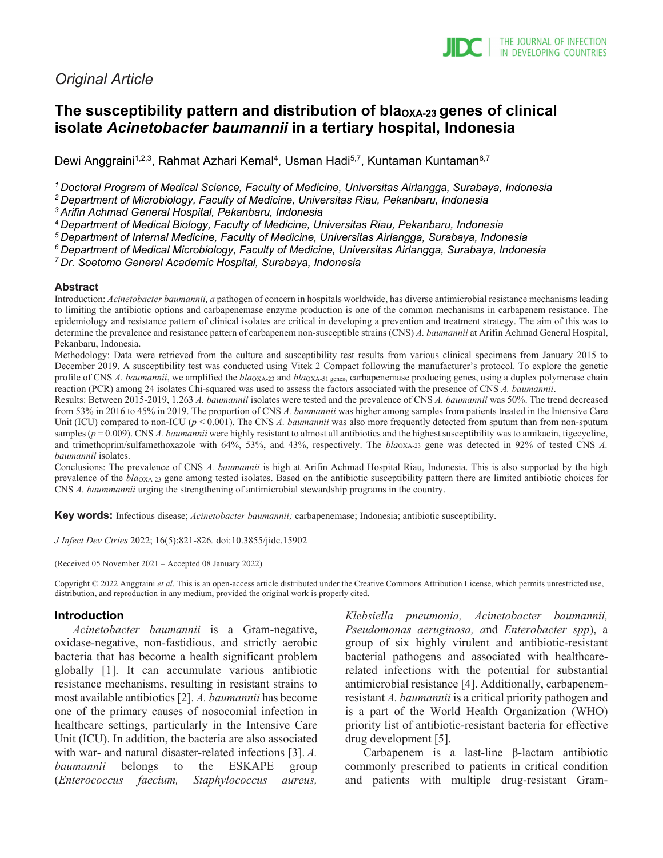# *Original Article*

# The susceptibility pattern and distribution of bla<sub>OXA-23</sub> genes of clinical **isolate** *Acinetobacter baumannii* **in a tertiary hospital, Indonesia**

Dewi Anggraini<sup>1,2,3</sup>, Rahmat Azhari Kemal<sup>4</sup>, Usman Hadi<sup>5,7</sup>, Kuntaman Kuntaman<sup>6,7</sup>

*1 Doctoral Program of Medical Science, Faculty of Medicine, Universitas Airlangga, Surabaya, Indonesia*

*2 Department of Microbiology, Faculty of Medicine, Universitas Riau, Pekanbaru, Indonesia*

*3 Arifin Achmad General Hospital, Pekanbaru, Indonesia*

*4 Department of Medical Biology, Faculty of Medicine, Universitas Riau, Pekanbaru, Indonesia*

*5 Department of Internal Medicine, Faculty of Medicine, Universitas Airlangga, Surabaya, Indonesia*

*6 Department of Medical Microbiology, Faculty of Medicine, Universitas Airlangga, Surabaya, Indonesia*

*7 Dr. Soetomo General Academic Hospital, Surabaya, Indonesia*

#### **Abstract**

Introduction: *Acinetobacter baumannii, a* pathogen of concern in hospitals worldwide, has diverse antimicrobial resistance mechanisms leading to limiting the antibiotic options and carbapenemase enzyme production is one of the common mechanisms in carbapenem resistance. The epidemiology and resistance pattern of clinical isolates are critical in developing a prevention and treatment strategy. The aim of this was to determine the prevalence and resistance pattern of carbapenem non-susceptible strains (CNS) *A. baumannii* at Arifin Achmad General Hospital, Pekanbaru, Indonesia.

Methodology: Data were retrieved from the culture and susceptibility test results from various clinical specimens from January 2015 to December 2019. A susceptibility test was conducted using Vitek 2 Compact following the manufacturer's protocol. To explore the genetic profile of CNS *A. baumannii*, we amplified the *bla*OXA-23 and *bla*OXA-51 genes, carbapenemase producing genes, using a duplex polymerase chain reaction (PCR) among 24 isolates Chi-squared was used to assess the factors associated with the presence of CNS *A. baumannii*.

Results: Between 2015-2019, 1.263 *A. baumannii* isolates were tested and the prevalence of CNS *A. baumannii* was 50%. The trend decreased from 53% in 2016 to 45% in 2019. The proportion of CNS *A. baumannii* was higher among samples from patients treated in the Intensive Care Unit (ICU) compared to non-ICU ( $p < 0.001$ ). The CNS *A. baumannii* was also more frequently detected from sputum than from non-sputum samples  $(p = 0.009)$ . CNS *A. baumannii* were highly resistant to almost all antibiotics and the highest susceptibility was to amikacin, tigecycline, and trimethoprim/sulfamethoxazole with 64%, 53%, and 43%, respectively. The *bla*<sub>OXA-23</sub> gene was detected in 92% of tested CNS *A*. *baumannii* isolates.

Conclusions: The prevalence of CNS *A. baumannii* is high at Arifin Achmad Hospital Riau, Indonesia. This is also supported by the high prevalence of the *bla*OXA-23 gene among tested isolates. Based on the antibiotic susceptibility pattern there are limited antibiotic choices for CNS *A. baummannii* urging the strengthening of antimicrobial stewardship programs in the country.

**Key words:** Infectious disease; *Acinetobacter baumannii;* carbapenemase; Indonesia; antibiotic susceptibility.

*J Infect Dev Ctries* 2022; 16(5):821-826*.* doi:10.3855/jidc.15902

(Received 05 November 2021 – Accepted 08 January 2022)

Copyright © 2022 Anggraini *et al*. This is an open-access article distributed under the Creative Commons Attribution License, which permits unrestricted use, distribution, and reproduction in any medium, provided the original work is properly cited.

### **Introduction**

*Acinetobacter baumannii* is a Gram-negative, oxidase-negative, non-fastidious, and strictly aerobic bacteria that has become a health significant problem globally [1]. It can accumulate various antibiotic resistance mechanisms, resulting in resistant strains to most available antibiotics [2]. *A. baumannii* has become one of the primary causes of nosocomial infection in healthcare settings, particularly in the Intensive Care Unit (ICU). In addition, the bacteria are also associated with war- and natural disaster-related infections [3]. *A. baumannii* belongs to the ESKAPE group (*Enterococcus faecium, Staphylococcus aureus,*  *Klebsiella pneumonia, Acinetobacter baumannii, Pseudomonas aeruginosa, a*nd *Enterobacter spp*), a group of six highly virulent and antibiotic-resistant bacterial pathogens and associated with healthcarerelated infections with the potential for substantial antimicrobial resistance [4]. Additionally, carbapenemresistant *A. baumannii* is a critical priority pathogen and is a part of the World Health Organization (WHO) priority list of antibiotic-resistant bacteria for effective drug development [5].

Carbapenem is a last-line β-lactam antibiotic commonly prescribed to patients in critical condition and patients with multiple drug-resistant Gram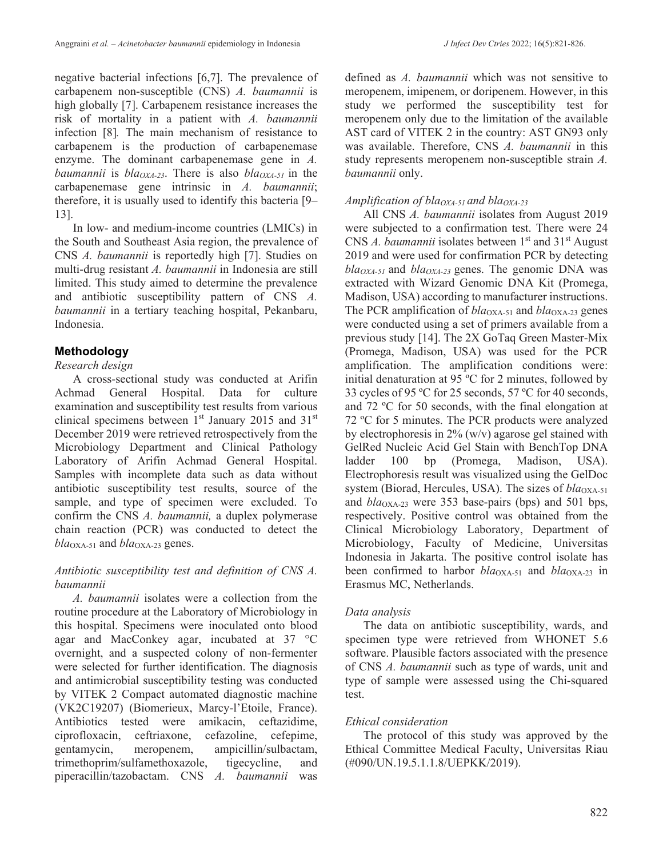negative bacterial infections [6,7]. The prevalence of carbapenem non-susceptible (CNS) *A. baumannii* is high globally [7]. Carbapenem resistance increases the risk of mortality in a patient with *A. baumannii* infection [8]*.* The main mechanism of resistance to carbapenem is the production of carbapenemase enzyme. The dominant carbapenemase gene in *A. baumannii* is  $bla_{OXA-23}$ . There is also  $bla_{OXA-51}$  in the carbapenemase gene intrinsic in *A. baumannii*; therefore, it is usually used to identify this bacteria [9– 13].

In low- and medium-income countries (LMICs) in the South and Southeast Asia region, the prevalence of CNS *A. baumannii* is reportedly high [7]. Studies on multi-drug resistant *A. baumannii* in Indonesia are still limited. This study aimed to determine the prevalence and antibiotic susceptibility pattern of CNS *A. baumannii* in a tertiary teaching hospital, Pekanbaru, Indonesia.

# **Methodology**

## *Research design*

A cross-sectional study was conducted at Arifin Achmad General Hospital. Data for culture examination and susceptibility test results from various clinical specimens between  $1<sup>st</sup>$  January 2015 and 31 $<sup>st</sup>$ </sup> December 2019 were retrieved retrospectively from the Microbiology Department and Clinical Pathology Laboratory of Arifin Achmad General Hospital. Samples with incomplete data such as data without antibiotic susceptibility test results, source of the sample, and type of specimen were excluded. To confirm the CNS *A. baumannii,* a duplex polymerase chain reaction (PCR) was conducted to detect the  $bla<sub>OXA-51</sub>$  and  $bla<sub>OXA-23</sub>$  genes.

## *Antibiotic susceptibility test and definition of CNS A. baumannii*

*A. baumannii* isolates were a collection from the routine procedure at the Laboratory of Microbiology in this hospital. Specimens were inoculated onto blood agar and MacConkey agar, incubated at 37 °C overnight, and a suspected colony of non-fermenter were selected for further identification. The diagnosis and antimicrobial susceptibility testing was conducted by VITEK 2 Compact automated diagnostic machine (VK2C19207) (Biomerieux, Marcy-l'Etoile, France). Antibiotics tested were amikacin, ceftazidime, ciprofloxacin, ceftriaxone, cefazoline, cefepime, gentamycin, meropenem, ampicillin/sulbactam, trimethoprim/sulfamethoxazole, tigecycline, and piperacillin/tazobactam. CNS *A. baumannii* was

defined as *A. baumannii* which was not sensitive to meropenem, imipenem, or doripenem. However, in this study we performed the susceptibility test for meropenem only due to the limitation of the available AST card of VITEK 2 in the country: AST GN93 only was available. Therefore, CNS *A. baumannii* in this study represents meropenem non-susceptible strain *A. baumannii* only.

## *Amplification of blaOXA-51 and blaOXA-23*

All CNS *A. baumannii* isolates from August 2019 were subjected to a confirmation test. There were 24 CNS *A. baumannii* isolates between 1<sup>st</sup> and 31<sup>st</sup> August 2019 and were used for confirmation PCR by detecting  $bla<sub>OXA-51</sub>$  and  $bla<sub>OXA-23</sub>$  genes. The genomic DNA was extracted with Wizard Genomic DNA Kit (Promega, Madison, USA) according to manufacturer instructions. The PCR amplification of *bla*<sub>OXA-51</sub> and *bla*<sub>OXA-23</sub> genes were conducted using a set of primers available from a previous study [14]. The 2X GoTaq Green Master-Mix (Promega, Madison, USA) was used for the PCR amplification. The amplification conditions were: initial denaturation at 95 ºC for 2 minutes, followed by 33 cycles of 95 ºC for 25 seconds, 57 ºC for 40 seconds, and 72 ºC for 50 seconds, with the final elongation at 72 ºC for 5 minutes. The PCR products were analyzed by electrophoresis in  $2\%$  (w/v) agarose gel stained with GelRed Nucleic Acid Gel Stain with BenchTop DNA ladder 100 bp (Promega, Madison, USA). Electrophoresis result was visualized using the GelDoc system (Biorad, Hercules, USA). The sizes of *bla*<sub>OXA-51</sub> and  $bla_{\text{OX}}$ <sub>23</sub> were 353 base-pairs (bps) and 501 bps, respectively. Positive control was obtained from the Clinical Microbiology Laboratory, Department of Microbiology, Faculty of Medicine, Universitas Indonesia in Jakarta. The positive control isolate has been confirmed to harbor *bla*OXA-51 and *bla*OXA-23 in Erasmus MC, Netherlands.

## *Data analysis*

The data on antibiotic susceptibility, wards, and specimen type were retrieved from WHONET 5.6 software. Plausible factors associated with the presence of CNS *A. baumannii* such as type of wards, unit and type of sample were assessed using the Chi-squared test.

## *Ethical consideration*

The protocol of this study was approved by the Ethical Committee Medical Faculty, Universitas Riau (#090/UN.19.5.1.1.8/UEPKK/2019).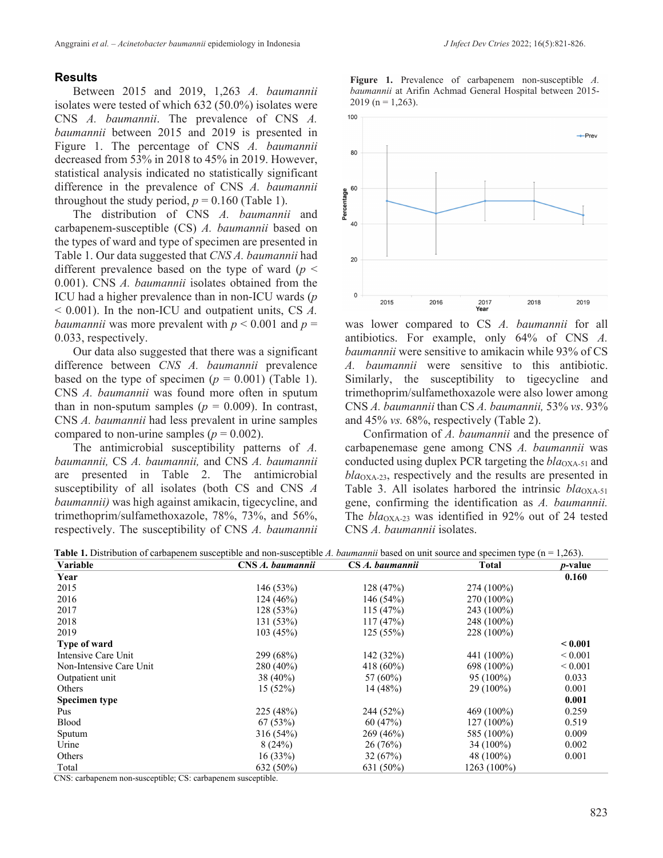### **Results**

Between 2015 and 2019, 1,263 *A. baumannii* isolates were tested of which 632 (50.0%) isolates were CNS *A. baumannii*. The prevalence of CNS *A. baumannii* between 2015 and 2019 is presented in Figure 1. The percentage of CNS *A. baumannii* decreased from 53% in 2018 to 45% in 2019. However, statistical analysis indicated no statistically significant difference in the prevalence of CNS *A. baumannii* throughout the study period,  $p = 0.160$  (Table 1).

The distribution of CNS *A. baumannii* and carbapenem-susceptible (CS) *A. baumannii* based on the types of ward and type of specimen are presented in Table 1. Our data suggested that *CNS A. baumannii* had different prevalence based on the type of ward ( $p <$ 0.001). CNS *A. baumannii* isolates obtained from the ICU had a higher prevalence than in non-ICU wards (*p* < 0.001). In the non-ICU and outpatient units, CS *A. baumannii* was more prevalent with  $p < 0.001$  and  $p =$ 0.033, respectively.

Our data also suggested that there was a significant difference between *CNS A. baumannii* prevalence based on the type of specimen ( $p = 0.001$ ) (Table 1). CNS *A. baumannii* was found more often in sputum than in non-sputum samples ( $p = 0.009$ ). In contrast, CNS *A. baumannii* had less prevalent in urine samples compared to non-urine samples ( $p = 0.002$ ).

The antimicrobial susceptibility patterns of *A. baumannii,* CS *A. baumannii,* and CNS *A. baumannii* are presented in Table 2. The antimicrobial susceptibility of all isolates (both CS and CNS *A baumannii)* was high against amikacin, tigecycline, and trimethoprim/sulfamethoxazole, 78%, 73%, and 56%, respectively. The susceptibility of CNS *A. baumannii*  **Figure 1.** Prevalence of carbapenem non-susceptible *A. baumannii* at Arifin Achmad General Hospital between 2015-  $2019$  (n = 1,263).



was lower compared to CS *A. baumannii* for all antibiotics. For example, only 64% of CNS *A. baumannii* were sensitive to amikacin while 93% of CS *A. baumannii* were sensitive to this antibiotic. Similarly, the susceptibility to tigecycline and trimethoprim/sulfamethoxazole were also lower among CNS *A. baumannii* than CS *A. baumannii,* 53% *vs*. 93% and 45% *vs.* 68%, respectively (Table 2).

Confirmation of *A. baumannii* and the presence of carbapenemase gene among CNS *A. baumannii* was conducted using duplex PCR targeting the *bla*<sub>OXA-51</sub> and *bla*OXA-23, respectively and the results are presented in Table 3. All isolates harbored the intrinsic *bla*<sub>OXA-51</sub> gene, confirming the identification as *A. baumannii.*  The  $bla_{\text{OX}A-23}$  was identified in 92% out of 24 tested CNS *A. baumannii* isolates.

| <b>Table 1.</b> Distribution of carbapenem susceptible and non-susceptible A, baumannii based on unit source and specimen type $(n = 1.263)$ . |             |                        |       |                 |
|------------------------------------------------------------------------------------------------------------------------------------------------|-------------|------------------------|-------|-----------------|
| Variable                                                                                                                                       | . baumannii | $CS\,A$<br>. baumannii | Total | <i>p</i> -value |
| $V_{\alpha\alpha\mu}$                                                                                                                          |             |                        |       | <u>ስ 1ሪስ</u>    |

| v ariabie               | Слэ <i>д, ошитанн</i> | Сэ А. ошитаппа | 1 otal       | <i>p</i> -vaiue |
|-------------------------|-----------------------|----------------|--------------|-----------------|
| Year                    |                       |                |              | 0.160           |
| 2015                    | 146 (53%)             | 128 (47%)      | 274 (100%)   |                 |
| 2016                    | 124(46%)              | 146(54%)       | 270 (100%)   |                 |
| 2017                    | 128 (53%)             | 115(47%)       | 243 (100%)   |                 |
| 2018                    | 131 (53%)             | 117(47%)       | 248 (100%)   |                 |
| 2019                    | 103(45%)              | 125(55%)       | 228 (100%)   |                 |
| <b>Type of ward</b>     |                       |                |              | ${}_{0.001}$    |
| Intensive Care Unit     | 299 (68%)             | 142 (32%)      | 441 (100%)   | ${}_{0.001}$    |
| Non-Intensive Care Unit | $280(40\%)$           | 418 (60%)      | 698 (100%)   | ${}< 0.001$     |
| Outpatient unit         | $38(40\%)$            | 57 (60%)       | $95(100\%)$  | 0.033           |
| Others                  | 15(52%)               | 14(48%)        | $29(100\%)$  | 0.001           |
| <b>Specimen type</b>    |                       |                |              | 0.001           |
| Pus                     | 225 (48%)             | 244 (52%)      | 469 (100%)   | 0.259           |
| <b>Blood</b>            | 67(53%)               | 60(47%)        | $127(100\%)$ | 0.519           |
| Sputum                  | 316(54%)              | 269 (46%)      | 585 (100%)   | 0.009           |
| Urine                   | 8(24%)                | 26(76%)        | $34(100\%)$  | 0.002           |
| Others                  | 16(33%)               | 32(67%)        | 48 (100%)    | 0.001           |
| Total                   | 632 (50%)             | 631 (50%)      | 1263 (100%)  |                 |
|                         |                       |                |              |                 |

CNS: carbapenem non-susceptible; CS: carbapenem susceptible.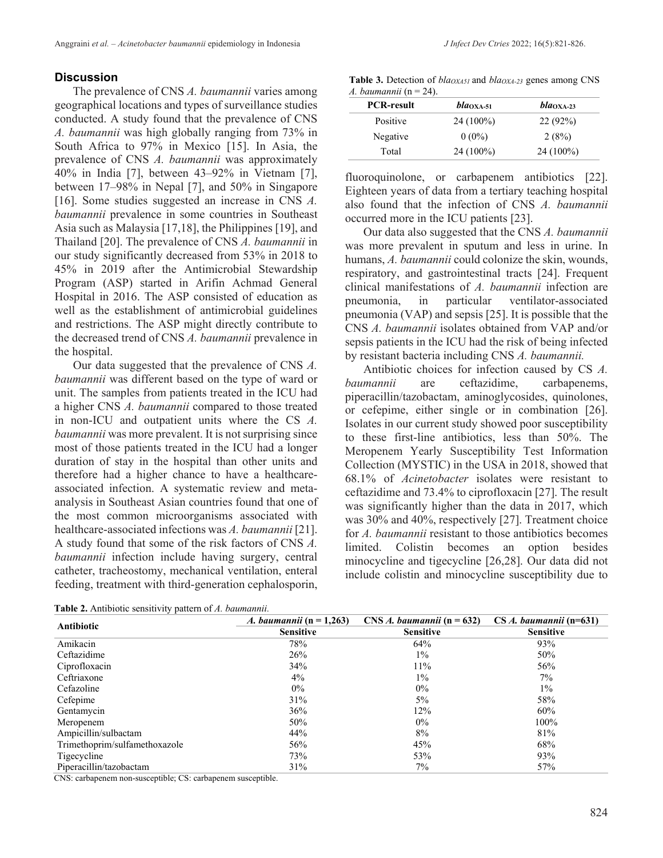### **Discussion**

The prevalence of CNS *A. baumannii* varies among geographical locations and types of surveillance studies conducted. A study found that the prevalence of CNS *A. baumannii* was high globally ranging from 73% in South Africa to 97% in Mexico [15]. In Asia, the prevalence of CNS *A. baumannii* was approximately 40% in India [7], between 43–92% in Vietnam [7], between 17–98% in Nepal [7], and 50% in Singapore [16]. Some studies suggested an increase in CNS *A. baumannii* prevalence in some countries in Southeast Asia such as Malaysia [17,18], the Philippines [19], and Thailand [20]. The prevalence of CNS *A. baumannii* in our study significantly decreased from 53% in 2018 to 45% in 2019 after the Antimicrobial Stewardship Program (ASP) started in Arifin Achmad General Hospital in 2016. The ASP consisted of education as well as the establishment of antimicrobial guidelines and restrictions. The ASP might directly contribute to the decreased trend of CNS *A. baumannii* prevalence in the hospital.

Our data suggested that the prevalence of CNS *A. baumannii* was different based on the type of ward or unit. The samples from patients treated in the ICU had a higher CNS *A. baumannii* compared to those treated in non-ICU and outpatient units where the CS *A. baumannii* was more prevalent. It is not surprising since most of those patients treated in the ICU had a longer duration of stay in the hospital than other units and therefore had a higher chance to have a healthcareassociated infection. A systematic review and metaanalysis in Southeast Asian countries found that one of the most common microorganisms associated with healthcare-associated infections was *A. baumannii* [21]. A study found that some of the risk factors of CNS *A. baumannii* infection include having surgery, central catheter, tracheostomy, mechanical ventilation, enteral feeding, treatment with third-generation cephalosporin,

|  |  |  |  |  |  | J Infect Dev Ctries 2022; 16(5):821-826. |
|--|--|--|--|--|--|------------------------------------------|
|--|--|--|--|--|--|------------------------------------------|

Table 3. Detection of *bla<sub>OXA51</sub>* and *bla<sub>OXA-23</sub>* genes among CNS *A. baumannii* (n = 24).

| <b>PCR-result</b> | $bla_{\rm OXA-51}$ | $bla_{\rm OXA-23}$ |  |
|-------------------|--------------------|--------------------|--|
| Positive          | 24 (100%)          | 22(92%)            |  |
| Negative          | $0(0\%)$           | 2(8%)              |  |
| Total             | 24 (100%)          | $24(100\%)$        |  |

fluoroquinolone, or carbapenem antibiotics [22]. Eighteen years of data from a tertiary teaching hospital also found that the infection of CNS *A. baumannii* occurred more in the ICU patients [23].

Our data also suggested that the CNS *A. baumannii*  was more prevalent in sputum and less in urine. In humans, *A. baumannii* could colonize the skin, wounds, respiratory, and gastrointestinal tracts [24]. Frequent clinical manifestations of *A. baumannii* infection are pneumonia, in particular ventilator-associated pneumonia (VAP) and sepsis [25]. It is possible that the CNS *A. baumannii* isolates obtained from VAP and/or sepsis patients in the ICU had the risk of being infected by resistant bacteria including CNS *A. baumannii.*

Antibiotic choices for infection caused by CS *A. baumannii* are ceftazidime, carbapenems, piperacillin/tazobactam, aminoglycosides, quinolones, or cefepime, either single or in combination [26]. Isolates in our current study showed poor susceptibility to these first-line antibiotics, less than 50%. The Meropenem Yearly Susceptibility Test Information Collection (MYSTIC) in the USA in 2018, showed that 68.1% of *Acinetobacter* isolates were resistant to ceftazidime and 73.4% to ciprofloxacin [27]. The result was significantly higher than the data in 2017, which was 30% and 40%, respectively [27]. Treatment choice for *A. baumannii* resistant to those antibiotics becomes limited. Colistin becomes an option besides minocycline and tigecycline [26,28]. Our data did not include colistin and minocycline susceptibility due to

| Table 2. Antibiotic sensitivity pattern of A. baumannii. |  |  |  |
|----------------------------------------------------------|--|--|--|
|----------------------------------------------------------|--|--|--|

| <b>Antibiotic</b>             | <i>A. baumannii</i> (n = 1,263) | $CNS A$ , baumannii (n = 632) | $CS A.$ baumannii (n=631) |
|-------------------------------|---------------------------------|-------------------------------|---------------------------|
|                               | <b>Sensitive</b>                | <b>Sensitive</b>              | <b>Sensitive</b>          |
| Amikacin                      | 78%                             | 64%                           | 93%                       |
| Ceftazidime                   | 26%                             | $1\%$                         | 50%                       |
| Ciprofloxacin                 | 34%                             | 11%                           | 56%                       |
| Ceftriaxone                   | $4\%$                           | $1\%$                         | $7\%$                     |
| Cefazoline                    | $0\%$                           | $0\%$                         | $1\%$                     |
| Cefepime                      | 31%                             | 5%                            | 58%                       |
| Gentamycin                    | 36%                             | 12%                           | 60%                       |
| Meropenem                     | 50%                             | $0\%$                         | 100%                      |
| Ampicillin/sulbactam          | 44%                             | 8%                            | 81%                       |
| Trimethoprim/sulfamethoxazole | 56%                             | 45%                           | 68%                       |
| Tigecycline                   | 73%                             | 53%                           | 93%                       |
| Piperacillin/tazobactam       | 31%                             | 7%                            | 57%                       |

CNS: carbapenem non-susceptible; CS: carbapenem susceptible.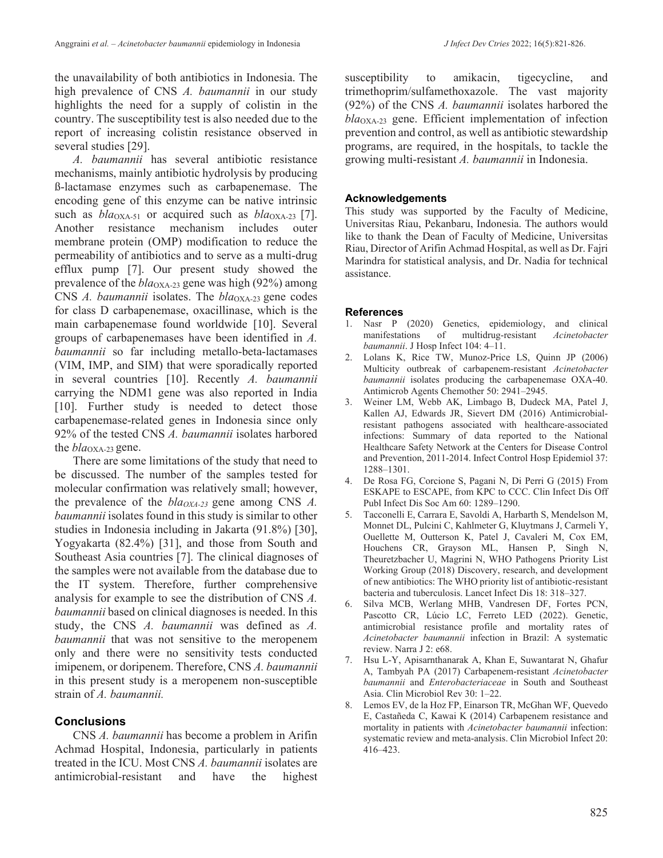the unavailability of both antibiotics in Indonesia. The high prevalence of CNS *A. baumannii* in our study highlights the need for a supply of colistin in the country. The susceptibility test is also needed due to the report of increasing colistin resistance observed in several studies [29].

*A. baumannii* has several antibiotic resistance mechanisms, mainly antibiotic hydrolysis by producing ß-lactamase enzymes such as carbapenemase. The encoding gene of this enzyme can be native intrinsic such as *bla*<sub>OXA-51</sub> or acquired such as *bla*<sub>OXA-23</sub> [7]. Another resistance mechanism includes outer membrane protein (OMP) modification to reduce the permeability of antibiotics and to serve as a multi-drug efflux pump [7]. Our present study showed the prevalence of the  $bla_{\text{OXA-23}}$  gene was high (92%) among CNS *A. baumannii* isolates. The *bla*<sub>OXA-23</sub> gene codes for class D carbapenemase, oxacillinase, which is the main carbapenemase found worldwide [10]. Several groups of carbapenemases have been identified in *A. baumannii* so far including metallo-beta-lactamases (VIM, IMP, and SIM) that were sporadically reported in several countries [10]. Recently *A. baumannii*  carrying the NDM1 gene was also reported in India [10]. Further study is needed to detect those carbapenemase-related genes in Indonesia since only 92% of the tested CNS *A. baumannii* isolates harbored the *bla*<sub>OXA-23</sub> gene.

There are some limitations of the study that need to be discussed. The number of the samples tested for molecular confirmation was relatively small; however, the prevalence of the  $bla_{OXA-23}$  gene among CNS *A*. *baumannii* isolates found in this study is similar to other studies in Indonesia including in Jakarta (91.8%) [30], Yogyakarta (82.4%) [31], and those from South and Southeast Asia countries [7]. The clinical diagnoses of the samples were not available from the database due to the IT system. Therefore, further comprehensive analysis for example to see the distribution of CNS *A. baumannii* based on clinical diagnoses is needed. In this study, the CNS *A. baumannii* was defined as *A. baumannii* that was not sensitive to the meropenem only and there were no sensitivity tests conducted imipenem, or doripenem. Therefore, CNS *A. baumannii*  in this present study is a meropenem non-susceptible strain of *A. baumannii.* 

## **Conclusions**

CNS *A. baumannii* has become a problem in Arifin Achmad Hospital, Indonesia, particularly in patients treated in the ICU. Most CNS *A. baumannii* isolates are antimicrobial-resistant and have the highest susceptibility to amikacin, tigecycline, and trimethoprim/sulfamethoxazole. The vast majority (92%) of the CNS *A. baumannii* isolates harbored the *bla*OXA-23 gene. Efficient implementation of infection prevention and control, as well as antibiotic stewardship programs, are required, in the hospitals, to tackle the growing multi-resistant *A. baumannii* in Indonesia.

#### **Acknowledgements**

This study was supported by the Faculty of Medicine, Universitas Riau, Pekanbaru, Indonesia. The authors would like to thank the Dean of Faculty of Medicine, Universitas Riau, Director of Arifin Achmad Hospital, as well as Dr. Fajri Marindra for statistical analysis, and Dr. Nadia for technical assistance.

#### **References**

- 1. Nasr P (2020) Genetics, epidemiology, and clinical manifestations of multidrug-resistant *Acinetobacter baumannii*. J Hosp Infect 104: 4–11.
- 2. Lolans K, Rice TW, Munoz-Price LS, Quinn JP (2006) Multicity outbreak of carbapenem-resistant *Acinetobacter baumannii* isolates producing the carbapenemase OXA-40. Antimicrob Agents Chemother 50: 2941–2945.
- 3. Weiner LM, Webb AK, Limbago B, Dudeck MA, Patel J, Kallen AJ, Edwards JR, Sievert DM (2016) Antimicrobialresistant pathogens associated with healthcare-associated infections: Summary of data reported to the National Healthcare Safety Network at the Centers for Disease Control and Prevention, 2011-2014. Infect Control Hosp Epidemiol 37: 1288–1301.
- 4. De Rosa FG, Corcione S, Pagani N, Di Perri G (2015) From ESKAPE to ESCAPE, from KPC to CCC. Clin Infect Dis Off Publ Infect Dis Soc Am 60: 1289–1290.
- 5. Tacconelli E, Carrara E, Savoldi A, Harbarth S, Mendelson M, Monnet DL, Pulcini C, Kahlmeter G, Kluytmans J, Carmeli Y, Ouellette M, Outterson K, Patel J, Cavaleri M, Cox EM, Houchens CR, Grayson ML, Hansen P, Singh N, Theuretzbacher U, Magrini N, WHO Pathogens Priority List Working Group (2018) Discovery, research, and development of new antibiotics: The WHO priority list of antibiotic-resistant bacteria and tuberculosis. Lancet Infect Dis 18: 318–327.
- 6. Silva MCB, Werlang MHB, Vandresen DF, Fortes PCN, Pascotto CR, Lúcio LC, Ferreto LED (2022). Genetic, antimicrobial resistance profile and mortality rates of *Acinetobacter baumannii* infection in Brazil: A systematic review. Narra J 2: e68.
- 7. Hsu L-Y, Apisarnthanarak A, Khan E, Suwantarat N, Ghafur A, Tambyah PA (2017) Carbapenem-resistant *Acinetobacter baumannii* and *Enterobacteriaceae* in South and Southeast Asia. Clin Microbiol Rev 30: 1–22.
- 8. Lemos EV, de la Hoz FP, Einarson TR, McGhan WF, Quevedo E, Castañeda C, Kawai K (2014) Carbapenem resistance and mortality in patients with *Acinetobacter baumannii* infection: systematic review and meta-analysis. Clin Microbiol Infect 20: 416–423.